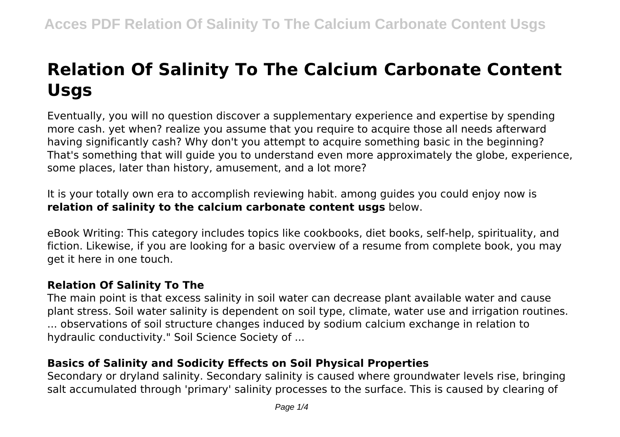# **Relation Of Salinity To The Calcium Carbonate Content Usgs**

Eventually, you will no question discover a supplementary experience and expertise by spending more cash. yet when? realize you assume that you require to acquire those all needs afterward having significantly cash? Why don't you attempt to acquire something basic in the beginning? That's something that will guide you to understand even more approximately the globe, experience, some places, later than history, amusement, and a lot more?

It is your totally own era to accomplish reviewing habit. among guides you could enjoy now is **relation of salinity to the calcium carbonate content usgs** below.

eBook Writing: This category includes topics like cookbooks, diet books, self-help, spirituality, and fiction. Likewise, if you are looking for a basic overview of a resume from complete book, you may get it here in one touch.

# **Relation Of Salinity To The**

The main point is that excess salinity in soil water can decrease plant available water and cause plant stress. Soil water salinity is dependent on soil type, climate, water use and irrigation routines. ... observations of soil structure changes induced by sodium calcium exchange in relation to hydraulic conductivity." Soil Science Society of ...

# **Basics of Salinity and Sodicity Effects on Soil Physical Properties**

Secondary or dryland salinity. Secondary salinity is caused where groundwater levels rise, bringing salt accumulated through 'primary' salinity processes to the surface. This is caused by clearing of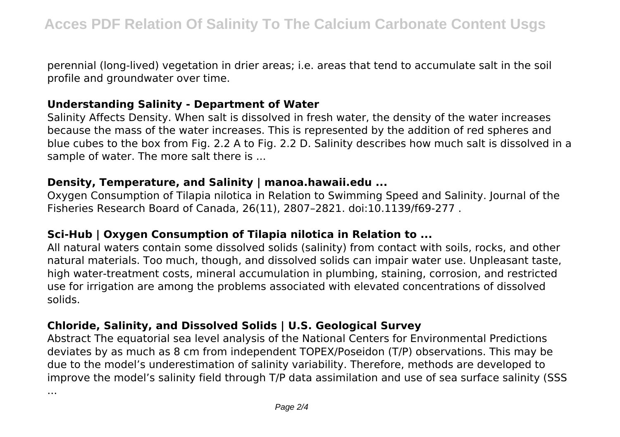perennial (long-lived) vegetation in drier areas; i.e. areas that tend to accumulate salt in the soil profile and groundwater over time.

#### **Understanding Salinity - Department of Water**

Salinity Affects Density. When salt is dissolved in fresh water, the density of the water increases because the mass of the water increases. This is represented by the addition of red spheres and blue cubes to the box from Fig. 2.2 A to Fig. 2.2 D. Salinity describes how much salt is dissolved in a sample of water. The more salt there is ...

#### **Density, Temperature, and Salinity | manoa.hawaii.edu ...**

Oxygen Consumption of Tilapia nilotica in Relation to Swimming Speed and Salinity. Journal of the Fisheries Research Board of Canada, 26(11), 2807–2821. doi:10.1139/f69-277 .

# **Sci-Hub | Oxygen Consumption of Tilapia nilotica in Relation to ...**

All natural waters contain some dissolved solids (salinity) from contact with soils, rocks, and other natural materials. Too much, though, and dissolved solids can impair water use. Unpleasant taste, high water-treatment costs, mineral accumulation in plumbing, staining, corrosion, and restricted use for irrigation are among the problems associated with elevated concentrations of dissolved solids.

# **Chloride, Salinity, and Dissolved Solids | U.S. Geological Survey**

Abstract The equatorial sea level analysis of the National Centers for Environmental Predictions deviates by as much as 8 cm from independent TOPEX/Poseidon (T/P) observations. This may be due to the model's underestimation of salinity variability. Therefore, methods are developed to improve the model's salinity field through T/P data assimilation and use of sea surface salinity (SSS

...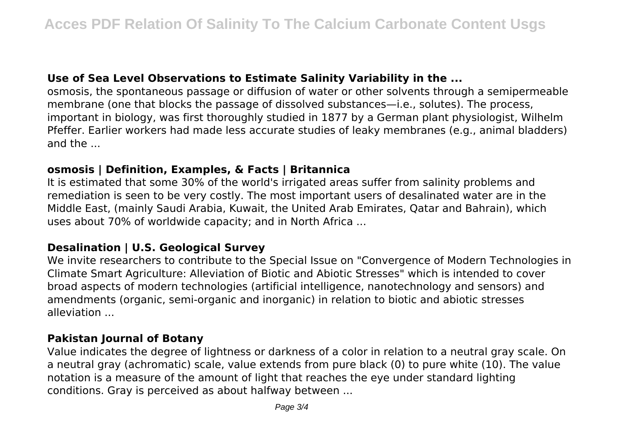# **Use of Sea Level Observations to Estimate Salinity Variability in the ...**

osmosis, the spontaneous passage or diffusion of water or other solvents through a semipermeable membrane (one that blocks the passage of dissolved substances—i.e., solutes). The process, important in biology, was first thoroughly studied in 1877 by a German plant physiologist, Wilhelm Pfeffer. Earlier workers had made less accurate studies of leaky membranes (e.g., animal bladders) and the ...

#### **osmosis | Definition, Examples, & Facts | Britannica**

It is estimated that some 30% of the world's irrigated areas suffer from salinity problems and remediation is seen to be very costly. The most important users of desalinated water are in the Middle East, (mainly Saudi Arabia, Kuwait, the United Arab Emirates, Qatar and Bahrain), which uses about 70% of worldwide capacity; and in North Africa ...

# **Desalination | U.S. Geological Survey**

We invite researchers to contribute to the Special Issue on "Convergence of Modern Technologies in Climate Smart Agriculture: Alleviation of Biotic and Abiotic Stresses" which is intended to cover broad aspects of modern technologies (artificial intelligence, nanotechnology and sensors) and amendments (organic, semi-organic and inorganic) in relation to biotic and abiotic stresses alleviation ...

# **Pakistan Journal of Botany**

Value indicates the degree of lightness or darkness of a color in relation to a neutral gray scale. On a neutral gray (achromatic) scale, value extends from pure black (0) to pure white (10). The value notation is a measure of the amount of light that reaches the eye under standard lighting conditions. Gray is perceived as about halfway between ...